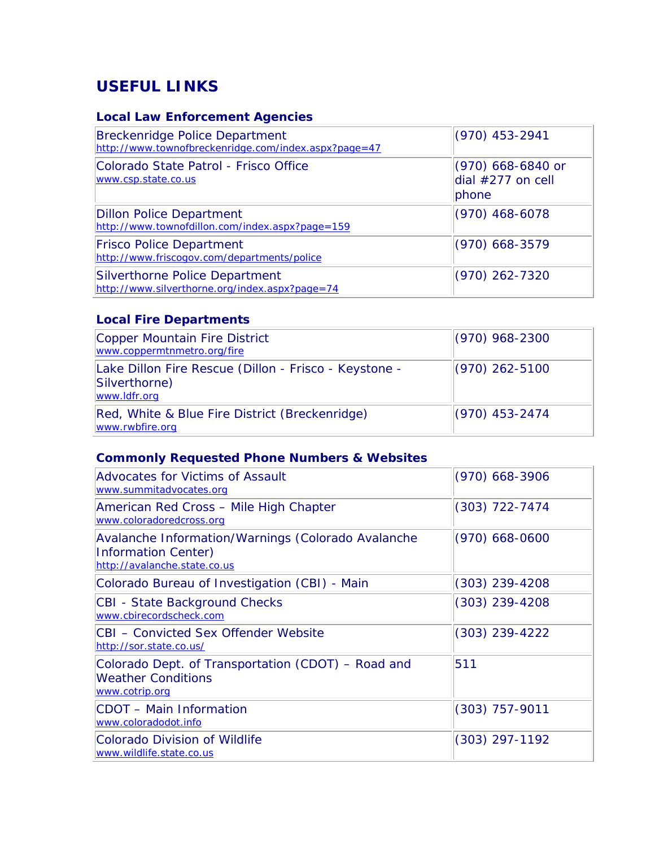## **USEFUL LINKS**

## **Local Law Enforcement Agencies**

| <b>Breckenridge Police Department</b><br>http://www.townofbreckenridge.com/index.aspx?page=47 | $(970)$ 453-2941                                  |
|-----------------------------------------------------------------------------------------------|---------------------------------------------------|
| Colorado State Patrol - Frisco Office<br>www.csp.state.co.us                                  | (970) 668-6840 or<br>dial $#277$ on cell<br>phone |
| <b>Dillon Police Department</b><br>http://www.townofdillon.com/index.aspx?page=159            | $(970)$ 468-6078                                  |
| <b>Frisco Police Department</b><br>http://www.friscogov.com/departments/police                | $(970)$ 668-3579                                  |
| <b>Silverthorne Police Department</b><br>http://www.silverthorne.org/index.aspx?page=74       | $(970)$ 262-7320                                  |

## **Local Fire Departments**

| Copper Mountain Fire District<br>www.coppermtnmetro.org/fire                           | $(970)$ 968-2300 |
|----------------------------------------------------------------------------------------|------------------|
| Lake Dillon Fire Rescue (Dillon - Frisco - Keystone -<br>Silverthorne)<br>www.ldfr.org | $(970)$ 262-5100 |
| Red, White & Blue Fire District (Breckenridge)<br>www.rwbfire.org                      | $(970)$ 453-2474 |

## **Commonly Requested Phone Numbers & Websites**

| <b>Advocates for Victims of Assault</b><br>www.summitadvocates.org                                        | $(970)$ 668-3906 |
|-----------------------------------------------------------------------------------------------------------|------------------|
| American Red Cross - Mile High Chapter<br>www.coloradoredcross.org                                        | $(303)$ 722-7474 |
| Avalanche Information/Warnings (Colorado Avalanche<br>Information Center)<br>http://avalanche.state.co.us | $(970)$ 668-0600 |
| Colorado Bureau of Investigation (CBI) - Main                                                             | $(303)$ 239-4208 |
| CBI - State Background Checks<br>www.cbirecordscheck.com                                                  | $(303)$ 239-4208 |
| ICBI – Convicted Sex Offender Website<br>http://sor.state.co.us/                                          | $(303)$ 239-4222 |
| Colorado Dept. of Transportation (CDOT) - Road and<br><b>Weather Conditions</b><br>www.cotrip.org         | 511              |
| CDOT - Main Information<br>www.coloradodot.info                                                           | $(303)$ 757-9011 |
| <b>Colorado Division of Wildlife</b><br>www.wildlife.state.co.us                                          | $(303)$ 297-1192 |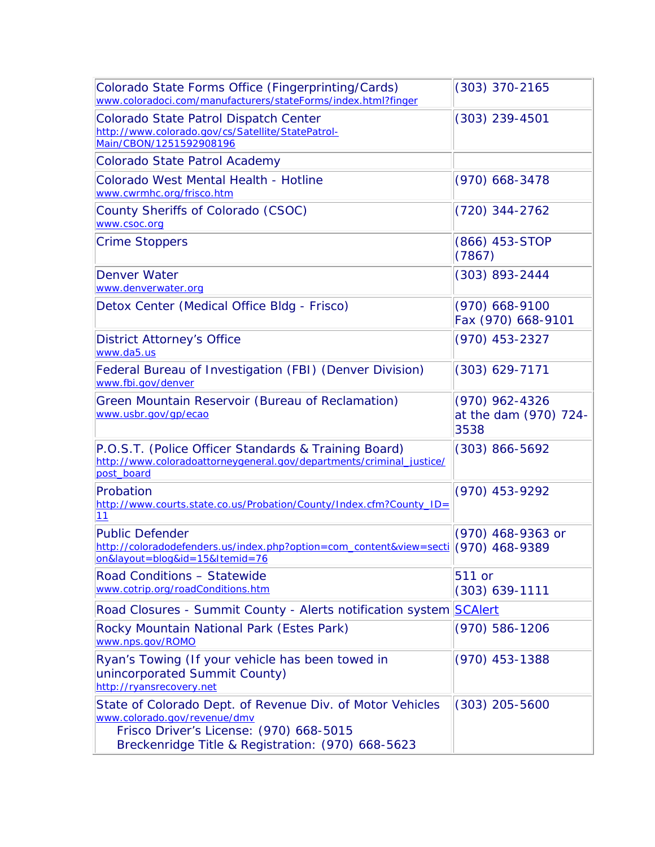| Colorado State Forms Office (Fingerprinting/Cards)<br>www.coloradoci.com/manufacturers/stateForms/index.html?finger                                                                       | $(303)$ 370-2165                                  |
|-------------------------------------------------------------------------------------------------------------------------------------------------------------------------------------------|---------------------------------------------------|
| Colorado State Patrol Dispatch Center<br>http://www.colorado.gov/cs/Satellite/StatePatrol-<br>Main/CBON/1251592908196                                                                     | $(303)$ 239-4501                                  |
| <b>Colorado State Patrol Academy</b>                                                                                                                                                      |                                                   |
| Colorado West Mental Health - Hotline<br>www.cwrmhc.org/frisco.htm                                                                                                                        | $(970)$ 668-3478                                  |
| County Sheriffs of Colorado (CSOC)<br>www.csoc.org                                                                                                                                        | $(720)$ 344-2762                                  |
| <b>Crime Stoppers</b>                                                                                                                                                                     | (866) 453-STOP<br>(7867)                          |
| <b>Denver Water</b><br>www.denverwater.org                                                                                                                                                | (303) 893-2444                                    |
| Detox Center (Medical Office Bldg - Frisco)                                                                                                                                               | (970) 668-9100<br>Fax (970) 668-9101              |
| <b>District Attorney's Office</b><br>www.da5.us                                                                                                                                           | (970) 453-2327                                    |
| Federal Bureau of Investigation (FBI) (Denver Division)<br>www.fbi.gov/denver                                                                                                             | $(303)$ 629-7171                                  |
| Green Mountain Reservoir (Bureau of Reclamation)<br>www.usbr.gov/gp/ecao                                                                                                                  | $(970)$ 962-4326<br>at the dam (970) 724-<br>3538 |
| P.O.S.T. (Police Officer Standards & Training Board)<br>http://www.coloradoattorneygeneral.gov/departments/criminal_justice/<br>post_board                                                | $(303) 866 - 5692$                                |
| Probation<br>http://www.courts.state.co.us/Probation/County/Index.cfm?County_ID=<br>11                                                                                                    | (970) 453-9292                                    |
| <b>Public Defender</b><br>http://coloradodefenders.us/index.php?option=com_content&view=secti (970) 468-9389<br>on&layout=blog&id=15&Itemid=76                                            | (970) 468-9363 or                                 |
| Road Conditions - Statewide<br>www.cotrip.org/roadConditions.htm                                                                                                                          | 511 or<br>$(303)$ 639-1111                        |
| Road Closures - Summit County - Alerts notification system SCAlert                                                                                                                        |                                                   |
| Rocky Mountain National Park (Estes Park)<br>www.nps.gov/ROMO                                                                                                                             | $(970) 586 - 1206$                                |
| Ryan's Towing (If your vehicle has been towed in<br>unincorporated Summit County)<br>http://ryansrecovery.net                                                                             | $(970)$ 453-1388                                  |
| State of Colorado Dept. of Revenue Div. of Motor Vehicles<br>www.colorado.gov/revenue/dmv<br>Frisco Driver's License: (970) 668-5015<br>Breckenridge Title & Registration: (970) 668-5623 | $(303)$ 205-5600                                  |